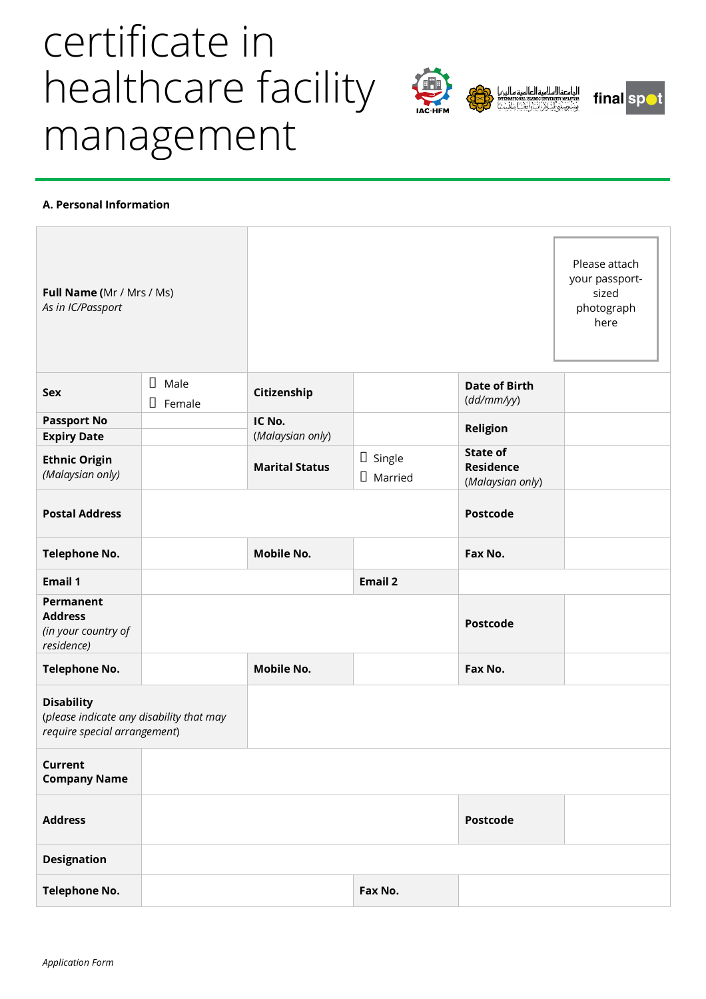# certificate in healthcare facility management



## **A. Personal Information**

| Full Name (Mr / Mrs / Ms)<br>As in IC/Passport                                                |                          |                            |                                 |                                                         | Please attach<br>your passport-<br>sized<br>photograph<br>here |
|-----------------------------------------------------------------------------------------------|--------------------------|----------------------------|---------------------------------|---------------------------------------------------------|----------------------------------------------------------------|
| <b>Sex</b>                                                                                    | П<br>Male<br>П<br>Female | Citizenship                |                                 | <b>Date of Birth</b><br>(dd/mm/yy)                      |                                                                |
| <b>Passport No</b>                                                                            |                          | IC No.<br>(Malaysian only) |                                 | Religion                                                |                                                                |
| <b>Expiry Date</b><br><b>Ethnic Origin</b><br>(Malaysian only)                                |                          | <b>Marital Status</b>      | $\Box$ Single<br>$\Box$ Married | <b>State of</b><br><b>Residence</b><br>(Malaysian only) |                                                                |
| <b>Postal Address</b>                                                                         |                          |                            |                                 | <b>Postcode</b>                                         |                                                                |
| <b>Telephone No.</b>                                                                          |                          | <b>Mobile No.</b>          |                                 | Fax No.                                                 |                                                                |
| <b>Email 1</b>                                                                                |                          |                            | <b>Email 2</b>                  |                                                         |                                                                |
| Permanent<br><b>Address</b>                                                                   |                          |                            |                                 | <b>Postcode</b>                                         |                                                                |
| (in your country of<br>residence)                                                             |                          |                            |                                 |                                                         |                                                                |
| <b>Telephone No.</b>                                                                          |                          | <b>Mobile No.</b>          |                                 | Fax No.                                                 |                                                                |
| <b>Disability</b><br>(please indicate any disability that may<br>require special arrangement) |                          |                            |                                 |                                                         |                                                                |
| Current<br><b>Company Name</b>                                                                |                          |                            |                                 |                                                         |                                                                |
| <b>Address</b>                                                                                |                          |                            |                                 | <b>Postcode</b>                                         |                                                                |
| <b>Designation</b>                                                                            |                          |                            |                                 |                                                         |                                                                |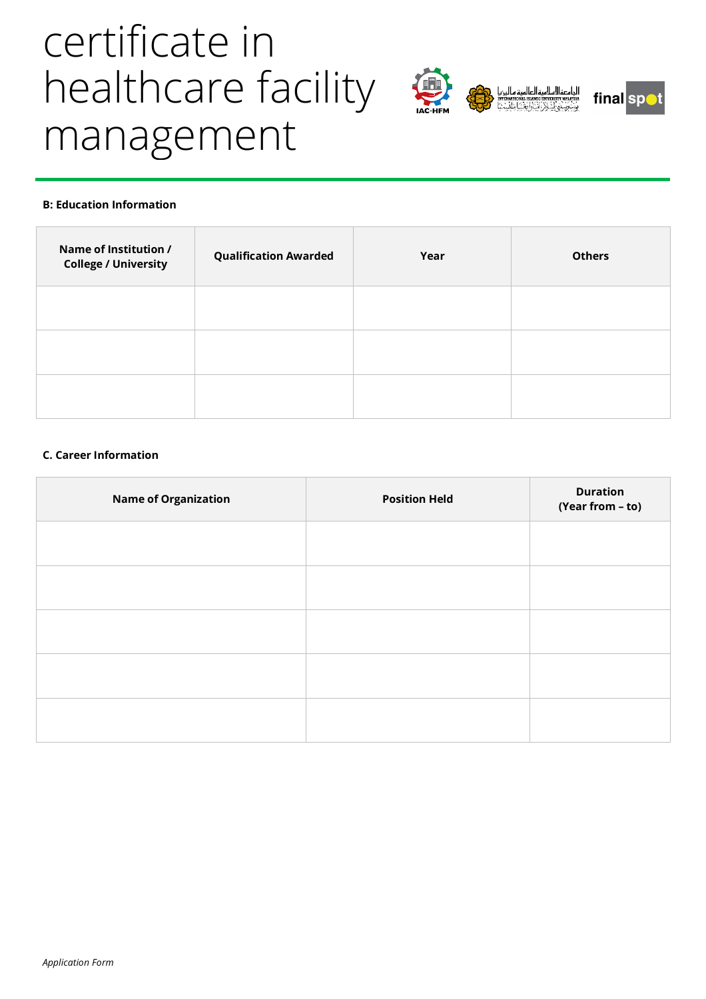# certificate in healthcare facility management



## **B: Education Information**

| Name of Institution /<br><b>College / University</b> | <b>Qualification Awarded</b> | Year | <b>Others</b> |
|------------------------------------------------------|------------------------------|------|---------------|
|                                                      |                              |      |               |
|                                                      |                              |      |               |
|                                                      |                              |      |               |

### **C. Career Information**

| <b>Name of Organization</b> | <b>Position Held</b> | <b>Duration</b><br>(Year from - to) |
|-----------------------------|----------------------|-------------------------------------|
|                             |                      |                                     |
|                             |                      |                                     |
|                             |                      |                                     |
|                             |                      |                                     |
|                             |                      |                                     |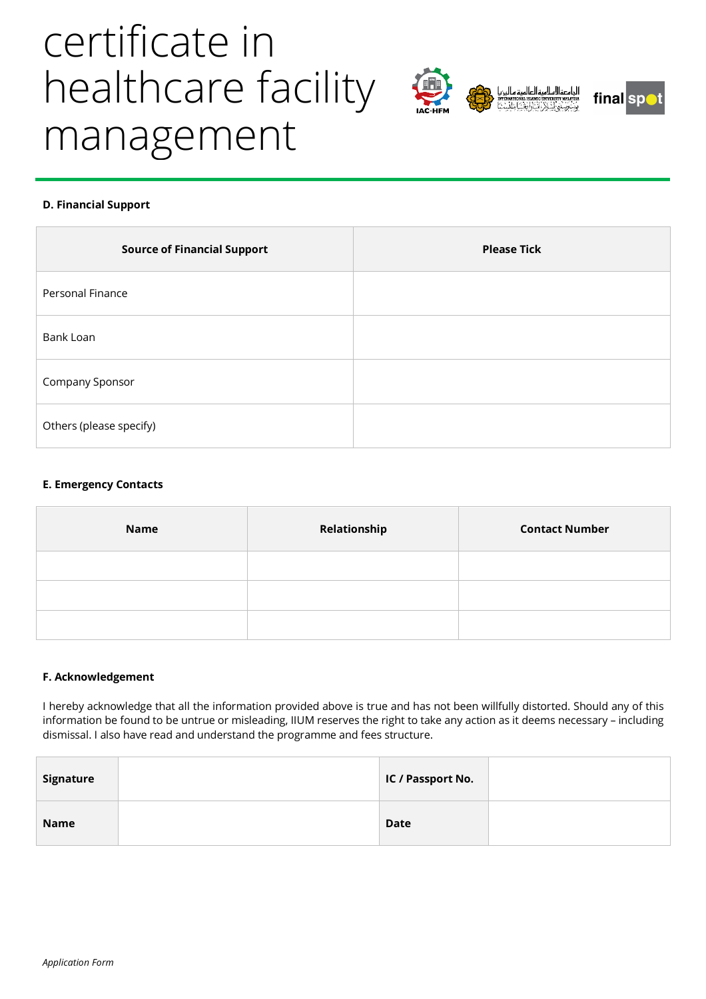# certificate in healthcare facility management



## **D. Financial Support**

| <b>Source of Financial Support</b> | <b>Please Tick</b> |
|------------------------------------|--------------------|
| Personal Finance                   |                    |
| Bank Loan                          |                    |
| Company Sponsor                    |                    |
| Others (please specify)            |                    |

### **E. Emergency Contacts**

| <b>Name</b> | Relationship | <b>Contact Number</b> |
|-------------|--------------|-----------------------|
|             |              |                       |
|             |              |                       |
|             |              |                       |

### **F. Acknowledgement**

I hereby acknowledge that all the information provided above is true and has not been willfully distorted. Should any of this information be found to be untrue or misleading, IIUM reserves the right to take any action as it deems necessary – including dismissal. I also have read and understand the programme and fees structure.

| Signature | IC / Passport No. |  |
|-----------|-------------------|--|
| Name      | <b>Date</b>       |  |